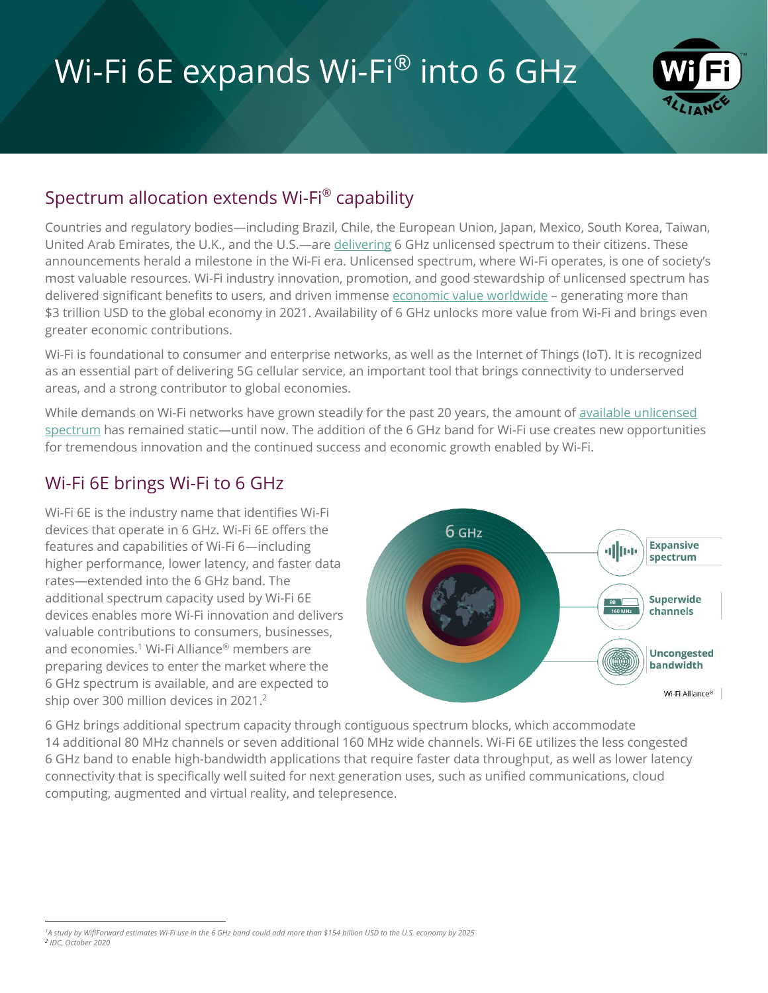# Wi-Fi 6E expands Wi-Fi® into 6 GHz



## Spectrum allocation extends Wi-Fi® capability

Countries and regulatory bodies—including Brazil, Chile, the European Union, Japan, Mexico, South Korea, Taiwan, United Arab Emirates, the U.K., and the U.S.—are [delivering](https://www.wi-fi.org/countries-enabling-wi-fi-6e) 6 GHz unlicensed spectrum to their citizens. These announcements herald a milestone in the Wi-Fi era. Unlicensed spectrum, where Wi-Fi operates, is one of society's most valuable resources. Wi-Fi industry innovation, promotion, and good stewardship of unlicensed spectrum has delivered significant benefits to users, and driven immense [economic value worldwide](http://www.valueofwifi.com/) - generating more than \$3 trillion USD to the global economy in 2021. Availability of 6 GHz unlocks more value from Wi-Fi and brings even greater economic contributions.

Wi-Fi is foundational to consumer and enterprise networks, as well as the Internet of Things (IoT). It is recognized as an essential part of delivering 5G cellular service, an important tool that brings connectivity to underserved areas, and a strong contributor to global economies.

While demands on Wi-Fi networks have grown steadily for the past 20 years, the amount of available unlicensed [spectrum](https://www.wi-fi.org/news-events/newsroom/additional-unlicensed-spectrum-needed-to-deliver-future-wi-fi-connectivity) has remained static—until now. The addition of the 6 GHz band for Wi-Fi use creates new opportunities for tremendous innovation and the continued success and economic growth enabled by Wi-Fi.

### Wi-Fi 6E brings Wi-Fi to 6 GHz

Wi-Fi 6E is the industry name that identifies Wi-Fi devices that operate in 6 GHz. Wi-Fi 6E offers the features and capabilities of Wi-Fi 6—including higher performance, lower latency, and faster data rates—extended into the 6 GHz band. The additional spectrum capacity used by Wi-Fi 6E devices enables more Wi-Fi innovation and delivers valuable contributions to consumers, businesses, and economies.<sup>1</sup> Wi-Fi Alliance® members are preparing devices to enter the market where the 6 GHz spectrum is available, and are expected to ship over 300 million devices in 2021. 2



6 GHz brings additional spectrum capacity through contiguous spectrum blocks, which accommodate 14 additional 80 MHz channels or seven additional 160 MHz wide channels. Wi-Fi 6E utilizes the less congested 6 GHz band to enable high-bandwidth applications that require faster data throughput, as well as lower latency connectivity that is specifically well suited for next generation uses, such as unified communications, cloud computing, augmented and virtual reality, and telepresence.

*<sup>1</sup>A study by WifiForward estimates Wi-Fi use in the 6 GHz band could add more than \$154 billion USD to the U.S. economy by 2025 2 IDC, October 2020*